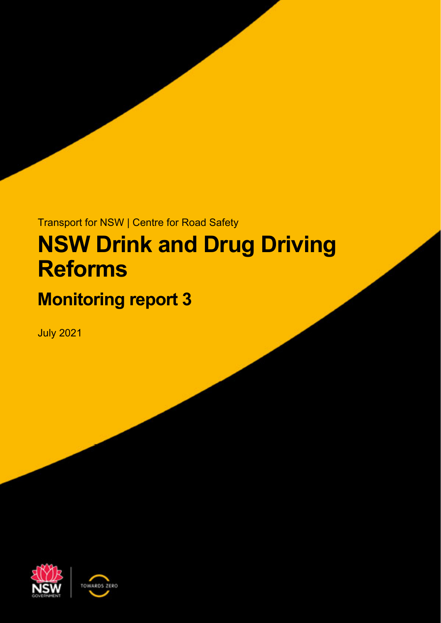# Transport for NSW | Centre for Road Safety **NSW Drink and Drug Driving Reforms**

## **Monitoring report 3**

July 2021



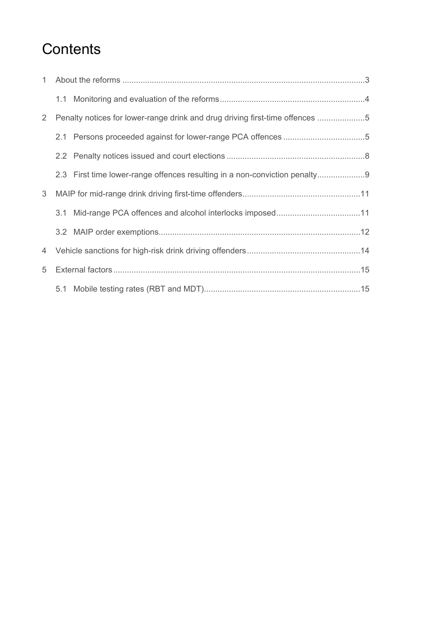## **Contents**

| 1                     |                                                                              |  |
|-----------------------|------------------------------------------------------------------------------|--|
|                       |                                                                              |  |
| $\mathbf{2}^{\prime}$ | Penalty notices for lower-range drink and drug driving first-time offences 5 |  |
|                       |                                                                              |  |
|                       |                                                                              |  |
|                       | 2.3 First time lower-range offences resulting in a non-conviction penalty    |  |
| 3                     |                                                                              |  |
|                       |                                                                              |  |
|                       |                                                                              |  |
|                       |                                                                              |  |
| 5                     |                                                                              |  |
|                       |                                                                              |  |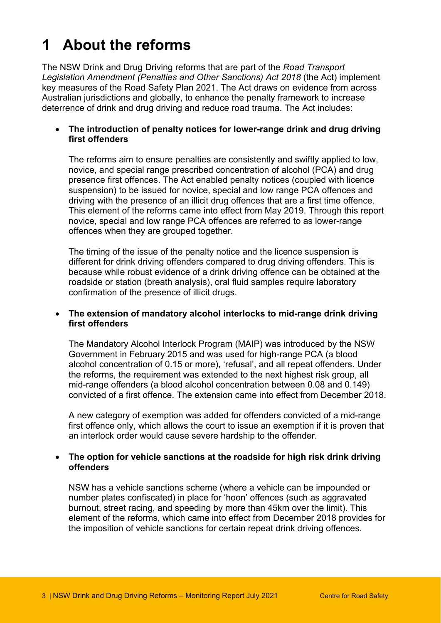## **1 About the reforms**

The NSW Drink and Drug Driving reforms that are part of the *Road Transport Legislation Amendment (Penalties and Other Sanctions) Act 2018* (the Act) implement key measures of the Road Safety Plan 2021. The Act draws on evidence from across Australian jurisdictions and globally, to enhance the penalty framework to increase deterrence of drink and drug driving and reduce road trauma. The Act includes:

#### **The introduction of penalty notices for lower-range drink and drug driving first offenders**

The reforms aim to ensure penalties are consistently and swiftly applied to low, novice, and special range prescribed concentration of alcohol (PCA) and drug presence first offences. The Act enabled penalty notices (coupled with licence suspension) to be issued for novice, special and low range PCA offences and driving with the presence of an illicit drug offences that are a first time offence. This element of the reforms came into effect from May 2019. Through this report novice, special and low range PCA offences are referred to as lower-range offences when they are grouped together.

The timing of the issue of the penalty notice and the licence suspension is different for drink driving offenders compared to drug driving offenders. This is because while robust evidence of a drink driving offence can be obtained at the roadside or station (breath analysis), oral fluid samples require laboratory confirmation of the presence of illicit drugs.

#### **The extension of mandatory alcohol interlocks to mid-range drink driving first offenders**

The Mandatory Alcohol Interlock Program (MAIP) was introduced by the NSW Government in February 2015 and was used for high-range PCA (a blood alcohol concentration of 0.15 or more), 'refusal', and all repeat offenders. Under the reforms, the requirement was extended to the next highest risk group, all mid-range offenders (a blood alcohol concentration between 0.08 and 0.149) convicted of a first offence. The extension came into effect from December 2018.

A new category of exemption was added for offenders convicted of a mid-range first offence only, which allows the court to issue an exemption if it is proven that an interlock order would cause severe hardship to the offender.

#### **The option for vehicle sanctions at the roadside for high risk drink driving offenders**

NSW has a vehicle sanctions scheme (where a vehicle can be impounded or number plates confiscated) in place for 'hoon' offences (such as aggravated burnout, street racing, and speeding by more than 45km over the limit). This element of the reforms, which came into effect from December 2018 provides for the imposition of vehicle sanctions for certain repeat drink driving offences.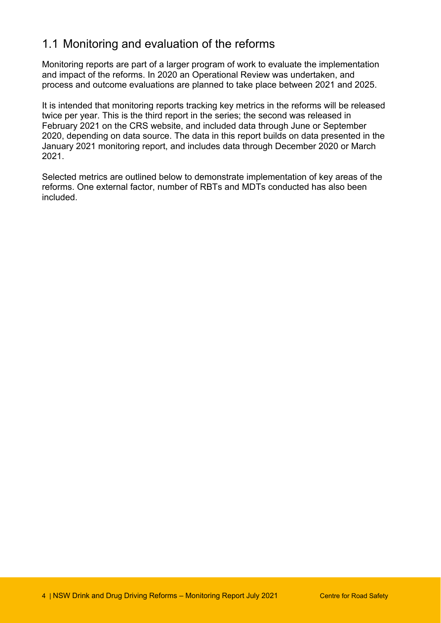#### 1.1 Monitoring and evaluation of the reforms

Monitoring reports are part of a larger program of work to evaluate the implementation and impact of the reforms. In 2020 an Operational Review was undertaken, and process and outcome evaluations are planned to take place between 2021 and 2025.

It is intended that monitoring reports tracking key metrics in the reforms will be released twice per year. This is the third report in the series; the second was released in February 2021 on the CRS website, and included data through June or September 2020, depending on data source. The data in this report builds on data presented in the January 2021 monitoring report, and includes data through December 2020 or March 2021.

Selected metrics are outlined below to demonstrate implementation of key areas of the reforms. One external factor, number of RBTs and MDTs conducted has also been included.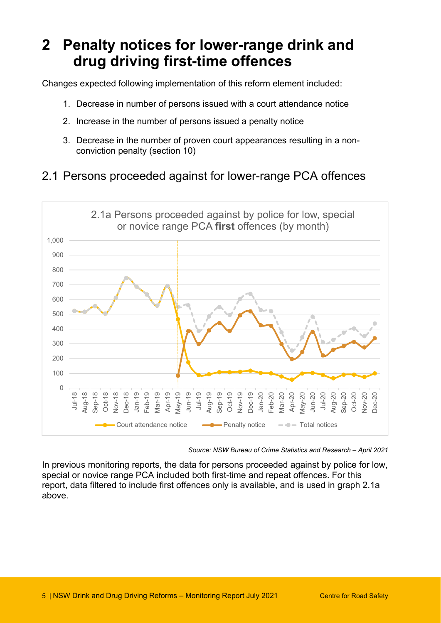## **2 Penalty notices for lower-range drink and drug driving first-time offences**

Changes expected following implementation of this reform element included:

- 1. Decrease in number of persons issued with a court attendance notice
- 2. Increase in the number of persons issued a penalty notice
- 3. Decrease in the number of proven court appearances resulting in a nonconviction penalty (section 10)

#### 2.1 Persons proceeded against for lower-range PCA offences



*Source: NSW Bureau of Crime Statistics and Research – April 2021* 

In previous monitoring reports, the data for persons proceeded against by police for low, special or novice range PCA included both first-time and repeat offences. For this report, data filtered to include first offences only is available, and is used in graph 2.1a above.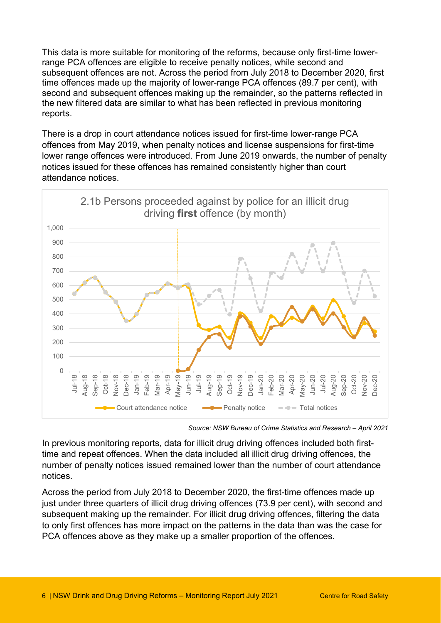This data is more suitable for monitoring of the reforms, because only first-time lowerrange PCA offences are eligible to receive penalty notices, while second and subsequent offences are not. Across the period from July 2018 to December 2020, first time offences made up the majority of lower-range PCA offences (89.7 per cent), with second and subsequent offences making up the remainder, so the patterns reflected in the new filtered data are similar to what has been reflected in previous monitoring reports.

There is a drop in court attendance notices issued for first-time lower-range PCA offences from May 2019, when penalty notices and license suspensions for first-time lower range offences were introduced. From June 2019 onwards, the number of penalty notices issued for these offences has remained consistently higher than court attendance notices.



*Source: NSW Bureau of Crime Statistics and Research – April 2021* 

In previous monitoring reports, data for illicit drug driving offences included both firsttime and repeat offences. When the data included all illicit drug driving offences, the number of penalty notices issued remained lower than the number of court attendance notices.

Across the period from July 2018 to December 2020, the first-time offences made up just under three quarters of illicit drug driving offences (73.9 per cent), with second and subsequent making up the remainder. For illicit drug driving offences, filtering the data to only first offences has more impact on the patterns in the data than was the case for PCA offences above as they make up a smaller proportion of the offences.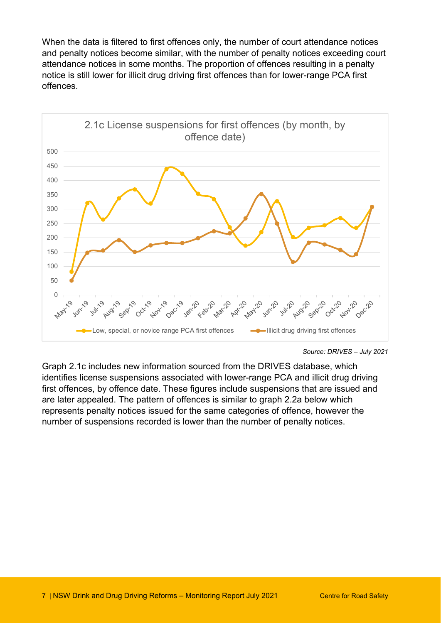When the data is filtered to first offences only, the number of court attendance notices and penalty notices become similar, with the number of penalty notices exceeding court attendance notices in some months. The proportion of offences resulting in a penalty notice is still lower for illicit drug driving first offences than for lower-range PCA first offences.



*Source: DRIVES – July 2021* 

Graph 2.1c includes new information sourced from the DRIVES database, which identifies license suspensions associated with lower-range PCA and illicit drug driving first offences, by offence date. These figures include suspensions that are issued and are later appealed. The pattern of offences is similar to graph 2.2a below which represents penalty notices issued for the same categories of offence, however the number of suspensions recorded is lower than the number of penalty notices.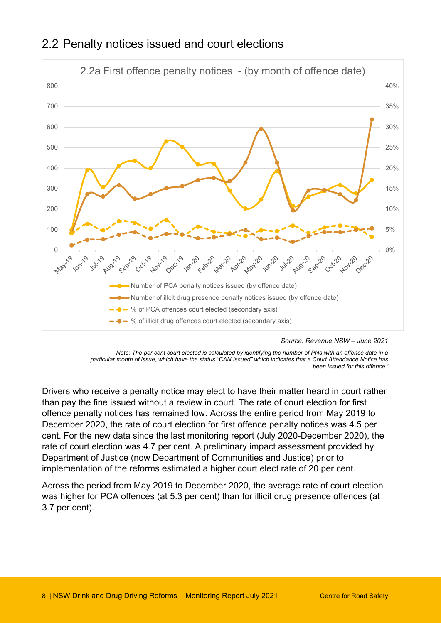

#### 2.2 Penalty notices issued and court elections

 *been issued for this offence.'* Note: The per cent court elected is calculated by identifying the number of PNs with an offence date in a *particular month of issue, which have the status "CAN Issued" which indicates that a Court Attendance Notice has* 

Drivers who receive a penalty notice may elect to have their matter heard in court rather than pay the fine issued without a review in court. The rate of court election for first offence penalty notices has remained low. Across the entire period from May 2019 to December 2020, the rate of court election for first offence penalty notices was 4.5 per cent. For the new data since the last monitoring report (July 2020-December 2020), the rate of court election was 4.7 per cent. A preliminary impact assessment provided by Department of Justice (now Department of Communities and Justice) prior to implementation of the reforms estimated a higher court elect rate of 20 per cent.

Across the period from May 2019 to December 2020, the average rate of court election was higher for PCA offences (at 5.3 per cent) than for illicit drug presence offences (at 3.7 per cent).

Source: Revenue NSW - June 2021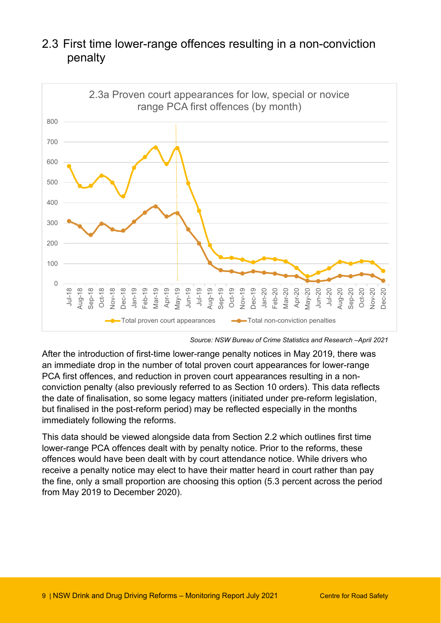

#### 2.3 First time lower-range offences resulting in a non-conviction penalty

*Source: NSW Bureau of Crime Statistics and Research –April 2021* 

immediately following the reforms. After the introduction of first-time lower-range penalty notices in May 2019, there was an immediate drop in the number of total proven court appearances for lower-range PCA first offences, and reduction in proven court appearances resulting in a nonconviction penalty (also previously referred to as Section 10 orders). This data reflects the date of finalisation, so some legacy matters (initiated under pre-reform legislation, but finalised in the post-reform period) may be reflected especially in the months

This data should be viewed alongside data from Section 2.2 which outlines first time lower-range PCA offences dealt with by penalty notice. Prior to the reforms, these offences would have been dealt with by court attendance notice. While drivers who receive a penalty notice may elect to have their matter heard in court rather than pay the fine, only a small proportion are choosing this option (5.3 percent across the period from May 2019 to December 2020).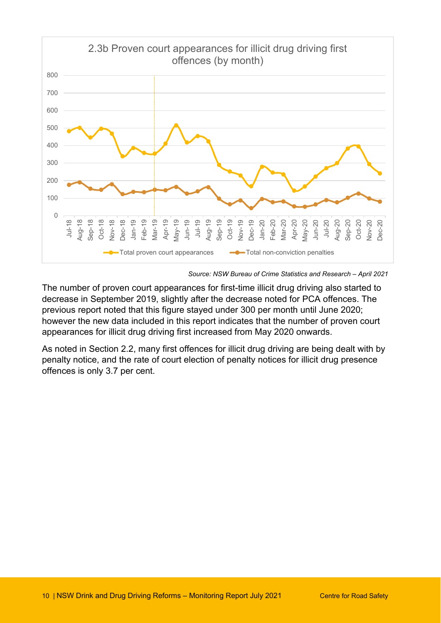

*Source: NSW Bureau of Crime Statistics and Research – April 2021* 

The number of proven court appearances for first-time illicit drug driving also started to decrease in September 2019, slightly after the decrease noted for PCA offences. The previous report noted that this figure stayed under 300 per month until June 2020; however the new data included in this report indicates that the number of proven court appearances for illicit drug driving first increased from May 2020 onwards.

As noted in Section 2.2, many first offences for illicit drug driving are being dealt with by penalty notice, and the rate of court election of penalty notices for illicit drug presence offences is only 3.7 per cent.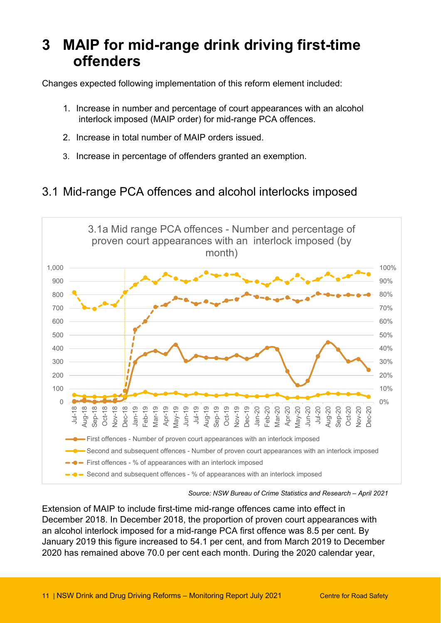### **3 MAIP for mid-range drink driving first-time offenders**

Changes expected following implementation of this reform element included:

- 1. Increase in number and percentage of court appearances with an alcohol interlock imposed (MAIP order) for mid-range PCA offences.
- 2. Increase in total number of MAIP orders issued.
- 3. Increase in percentage of offenders granted an exemption.

#### 3.1 Mid-range PCA offences and alcohol interlocks imposed



*Source: NSW Bureau of Crime Statistics and Research – April 2021* 

Extension of MAIP to include first-time mid-range offences came into effect in December 2018. In December 2018, the proportion of proven court appearances with an alcohol interlock imposed for a mid-range PCA first offence was 8.5 per cent. By January 2019 this figure increased to 54.1 per cent, and from March 2019 to December 2020 has remained above 70.0 per cent each month. During the 2020 calendar year,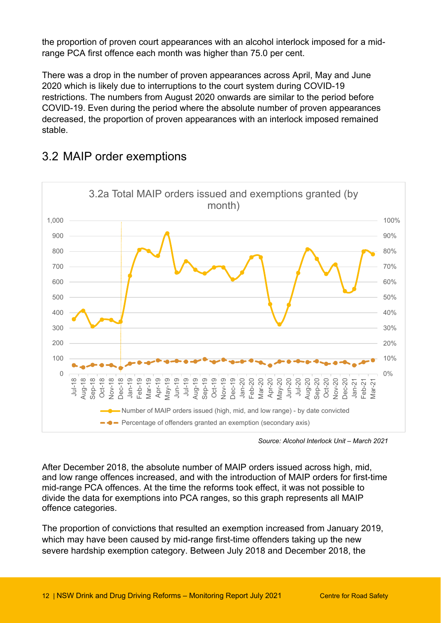the proportion of proven court appearances with an alcohol interlock imposed for a midrange PCA first offence each month was higher than 75.0 per cent.

There was a drop in the number of proven appearances across April, May and June 2020 which is likely due to interruptions to the court system during COVID-19 restrictions. The numbers from August 2020 onwards are similar to the period before COVID-19. Even during the period where the absolute number of proven appearances decreased, the proportion of proven appearances with an interlock imposed remained stable.



#### 3.2 MAIP order exemptions

*Source: Alcohol Interlock Unit – March 2021* 

After December 2018, the absolute number of MAIP orders issued across high, mid, and low range offences increased, and with the introduction of MAIP orders for first-time mid-range PCA offences. At the time the reforms took effect, it was not possible to divide the data for exemptions into PCA ranges, so this graph represents all MAIP offence categories.

The proportion of convictions that resulted an exemption increased from January 2019, which may have been caused by mid-range first-time offenders taking up the new severe hardship exemption category. Between July 2018 and December 2018, the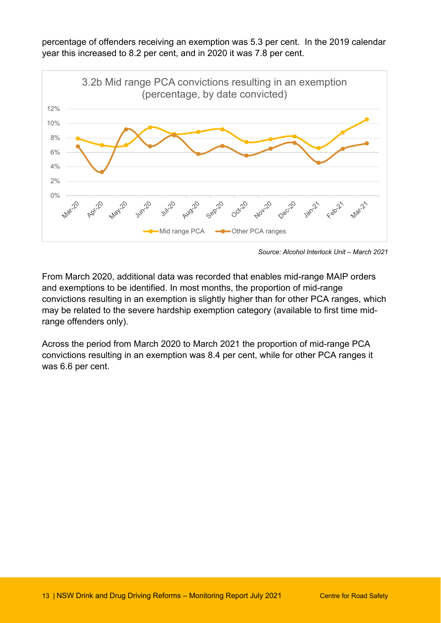percentage of offenders receiving an exemption was 5.3 per cent. In the 2019 calendar year this increased to 8.2 per cent, and in 2020 it was 7.8 per cent.



*Source: Alcohol Interlock Unit – March 2021* 

From March 2020, additional data was recorded that enables mid-range MAIP orders and exemptions to be identified. In most months, the proportion of mid-range convictions resulting in an exemption is slightly higher than for other PCA ranges, which may be related to the severe hardship exemption category (available to first time midrange offenders only).

Across the period from March 2020 to March 2021 the proportion of mid-range PCA convictions resulting in an exemption was 8.4 per cent, while for other PCA ranges it was 6.6 per cent.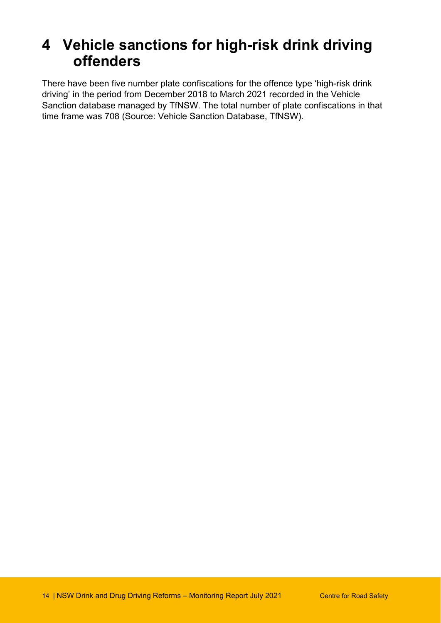## **4 Vehicle sanctions for high-risk drink driving offenders**

There have been five number plate confiscations for the offence type 'high-risk drink driving' in the period from December 2018 to March 2021 recorded in the Vehicle Sanction database managed by TfNSW. The total number of plate confiscations in that time frame was 708 (Source: Vehicle Sanction Database, TfNSW).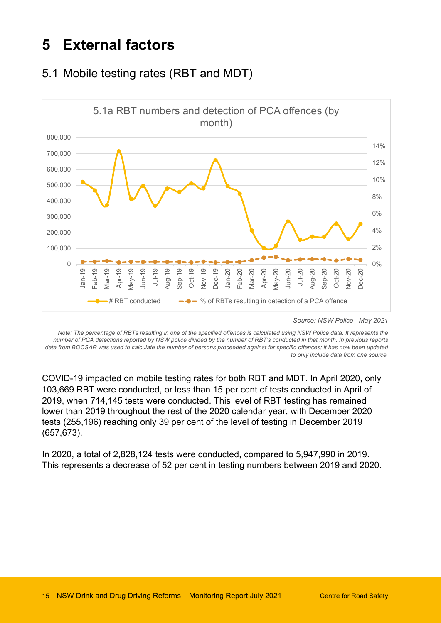## <span id="page-14-0"></span>**5 External factors**

### 5.1 Mobile testing rates (RBT and MDT)



*Source: NSW Police –May 2021* 

*Note: The percentage of RBTs resulting in one of the specified offences is calculated using NSW Police data. It represents the number of PCA detections reported by NSW police divided by the number of RBT's conducted in that month. In previous reports data from BOCSAR was used to calculate the number of persons proceeded against for specific offences; it has now been updated to only include data from one source.* 

COVID-19 impacted on mobile testing rates for both RBT and MDT. In April 2020, only 103,669 RBT were conducted, or less than 15 per cent of tests conducted in April of 2019, when 714,145 tests were conducted. This level of RBT testing has remained lower than 2019 throughout the rest of the 2020 calendar year, with December 2020 tests (255,196) reaching only 39 per cent of the level of testing in December 2019 (657,673).

In 2020, a total of 2,828,124 tests were conducted, compared to 5,947,990 in 2019. This represents a decrease of 52 per cent in testing numbers between 2019 and 2020.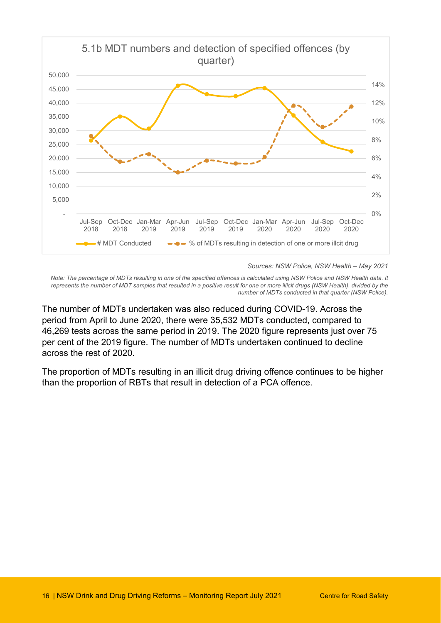

*Sources: NSW Police, NSW Health – May 2021* 

*Note: The percentage of MDTs resulting in one of the specified offences is calculated using NSW Police and NSW Health data. It*  represents the number of MDT samples that resulted in a positive result for one or more illicit drugs (NSW Health), divided by the *number of MDTs conducted in that quarter (NSW Police).* 

The number of MDTs undertaken was also reduced during COVID-19. Across the period from April to June 2020, there were 35,532 MDTs conducted, compared to 46,269 tests across the same period in 2019. The 2020 figure represents just over 75 per cent of the 2019 figure. The number of MDTs undertaken continued to decline across the rest of 2020.

The proportion of MDTs resulting in an illicit drug driving offence continues to be higher than the proportion of RBTs that result in detection of a PCA offence.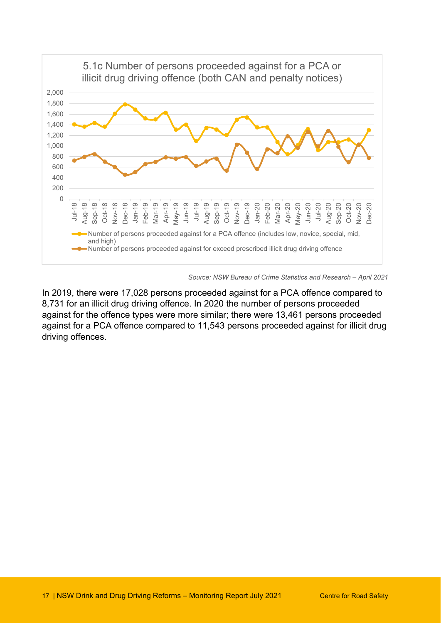

*Source: NSW Bureau of Crime Statistics and Research – April 2021* 

In 2019, there were 17,028 persons proceeded against for a PCA offence compared to 8,731 for an illicit drug driving offence. In 2020 the number of persons proceeded against for the offence types were more similar; there were 13,461 persons proceeded against for a PCA offence compared to 11,543 persons proceeded against for illicit drug driving offences.